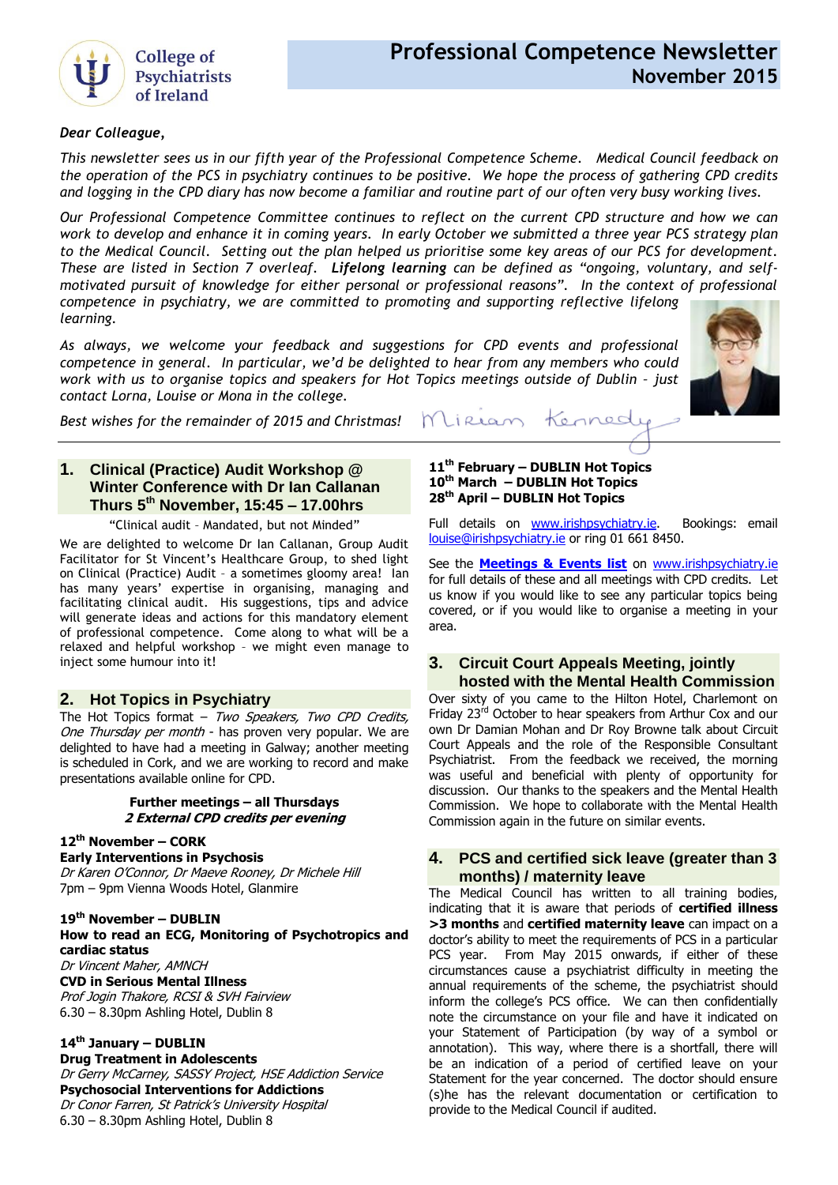

# **Professional Competence Newsletter November 2015**

## *Dear Colleague,*

*This newsletter sees us in our fifth year of the Professional Competence Scheme. Medical Council feedback on the operation of the PCS in psychiatry continues to be positive. We hope the process of gathering CPD credits and logging in the CPD diary has now become a familiar and routine part of our often very busy working lives.*

*Our Professional Competence Committee continues to reflect on the current CPD structure and how we can work to develop and enhance it in coming years. In early October we submitted a three year PCS strategy plan to the Medical Council. Setting out the plan helped us prioritise some key areas of our PCS for development. These are listed in Section 7 overleaf. Lifelong learning can be defined as "ongoing, voluntary, and selfmotivated pursuit of knowledge for either personal or professional reasons". In the context of professional competence in psychiatry, we are committed to promoting and supporting reflective lifelong learning.* 

*As always, we welcome your feedback and suggestions for CPD events and professional competence in general. In particular, we'd be delighted to hear from any members who could work with us to organise topics and speakers for Hot Topics meetings outside of Dublin - just contact Lorna, Louise or Mona in the college.*



*Best wishes for the remainder of 2015 and Christmas!* 

## **1. Clinical (Practice) Audit Workshop @ Winter Conference with Dr Ian Callanan Thurs 5 th November, 15:45 – 17.00hrs**

"Clinical audit – Mandated, but not Minded"

We are delighted to welcome Dr Ian Callanan, Group Audit Facilitator for St Vincent's Healthcare Group, to shed light on Clinical (Practice) Audit – a sometimes gloomy area! Ian has many years' expertise in organising, managing and facilitating clinical audit. His suggestions, tips and advice will generate ideas and actions for this mandatory element of professional competence. Come along to what will be a relaxed and helpful workshop – we might even manage to inject some humour into it!

## **2. Hot Topics in Psychiatry**

The Hot Topics format - Two Speakers, Two CPD Credits, One Thursday per month - has proven very popular. We are delighted to have had a meeting in Galway; another meeting is scheduled in Cork, and we are working to record and make presentations available online for CPD.

#### **Further meetings – all Thursdays 2 External CPD credits per evening**

## **12th November – CORK**

**Early Interventions in Psychosis** Dr Karen O'Connor, Dr Maeve Rooney, Dr Michele Hill 7pm – 9pm Vienna Woods Hotel, Glanmire

**19th November – DUBLIN How to read an ECG, Monitoring of Psychotropics and cardiac status** Dr Vincent Maher, AMNCH **CVD in Serious Mental Illness** Prof Jogin Thakore, RCSI & SVH Fairview

6.30 – 8.30pm Ashling Hotel, Dublin 8

## **14th January – DUBLIN**

**Drug Treatment in Adolescents** Dr Gerry McCarney, SASSY Project, HSE Addiction Service **Psychosocial Interventions for Addictions** Dr Conor Farren, St Patrick's University Hospital 6.30 – 8.30pm Ashling Hotel, Dublin 8

#### **11th February – DUBLIN Hot Topics 10th March – DUBLIN Hot Topics 28th April – DUBLIN Hot Topics**

Lirean

Full details on [www.irishpsychiatry.ie.](http://www.irishpsychiatry.ie/Home/Upcomingeventsandcourses.aspx?id=faf018eb-1758-4381-95bb-9e5db11b98b8) Bookings: email [louise@irishpsychiatry.ie](mailto:louise@irishpsychiatry.ie) or ring 01 661 8450.

Konned

See the **[Meetings & Events list](http://www.irishpsychiatry.ie/Home/Upcomingeventsandcourses.aspx?id=faf018eb-1758-4381-95bb-9e5db11b98b8)** on [www.irishpsychiatry.ie](http://www.irishpsychiatry.ie/) for full details of these and all meetings with CPD credits. Let us know if you would like to see any particular topics being covered, or if you would like to organise a meeting in your area.

## **3. Circuit Court Appeals Meeting, jointly hosted with the Mental Health Commission**

Over sixty of you came to the Hilton Hotel, Charlemont on Friday 23<sup>rd</sup> October to hear speakers from Arthur Cox and our own Dr Damian Mohan and Dr Roy Browne talk about Circuit Court Appeals and the role of the Responsible Consultant Psychiatrist. From the feedback we received, the morning was useful and beneficial with plenty of opportunity for discussion. Our thanks to the speakers and the Mental Health Commission. We hope to collaborate with the Mental Health Commission again in the future on similar events.

## **4. [PCS](http://collegeofpsychiatryireland.newsweaver.co.uk/newsletter/1bcdch2t8xl13d8mgyqtf4?a=1&p=33459695&t=18724804) and certified sick leave (greater than 3 months) / maternity leave**

The Medical Council has written to all training bodies, indicating that it is aware that periods of **certified illness >3 months** and **certified maternity leave** can impact on a doctor's ability to meet the requirements of PCS in a particular PCS year. From May 2015 onwards, if either of these circumstances cause a psychiatrist difficulty in meeting the annual requirements of the scheme, the psychiatrist should inform the college's PCS office. We can then confidentially note the circumstance on your file and have it indicated on your Statement of Participation (by way of a symbol or annotation). This way, where there is a shortfall, there will be an indication of a period of certified leave on your Statement for the year concerned. The doctor should ensure (s)he has the relevant documentation or certification to provide to the Medical Council if audited.